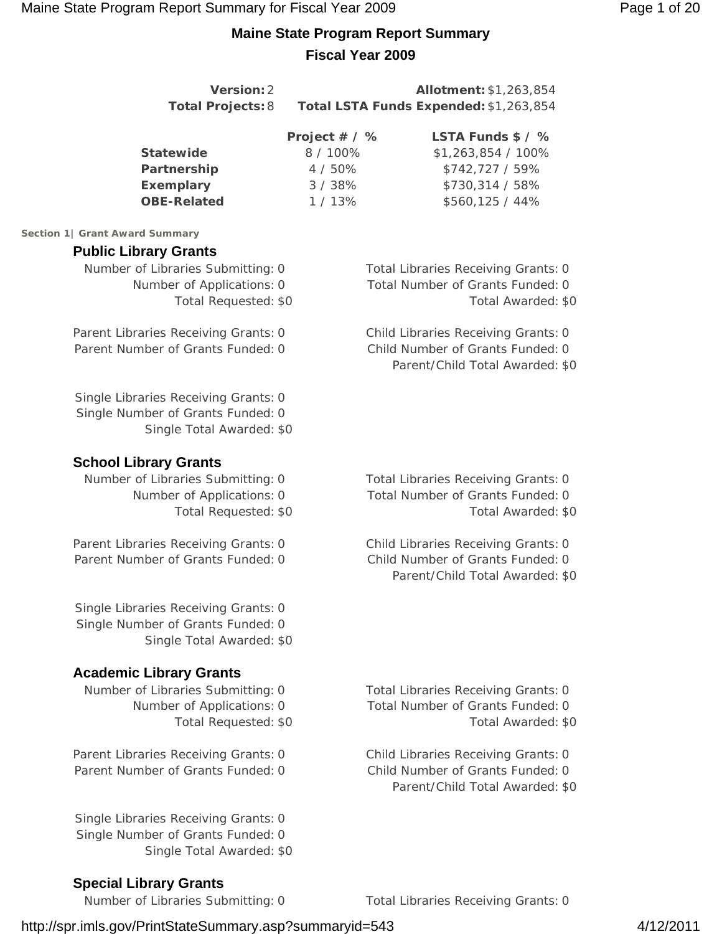# **Maine State Program Report Summary Fiscal Year 2009**

| Version: 2<br><b>Total Projects: 8</b>                                                                                   |                                                        | Allotment: \$1,263,854<br>Total LSTA Funds Expended: \$1,263,854                                           |
|--------------------------------------------------------------------------------------------------------------------------|--------------------------------------------------------|------------------------------------------------------------------------------------------------------------|
| <b>Statewide</b><br>Partnership<br><b>Exemplary</b><br><b>OBE-Related</b>                                                | Project # / %<br>8 / 100%<br>4 / 50%<br>3/38%<br>1/13% | LSTA Funds \$ / %<br>\$1,263,854 / 100%<br>\$742,727 / 59%<br>\$730,314 / 58%<br>\$560,125 / 44%           |
| Section 1   Grant Award Summary                                                                                          |                                                        |                                                                                                            |
| <b>Public Library Grants</b><br>Number of Libraries Submitting: 0<br>Number of Applications: 0<br>Total Requested: \$0   |                                                        | Total Libraries Receiving Grants: 0<br>Total Number of Grants Funded: 0<br>Total Awarded: \$0              |
| Parent Libraries Receiving Grants: 0<br>Parent Number of Grants Funded: 0                                                |                                                        | Child Libraries Receiving Grants: 0<br>Child Number of Grants Funded: 0<br>Parent/Child Total Awarded: \$0 |
| Single Libraries Receiving Grants: 0<br>Single Number of Grants Funded: 0<br>Single Total Awarded: \$0                   |                                                        |                                                                                                            |
| <b>School Library Grants</b><br>Number of Libraries Submitting: 0<br>Number of Applications: 0<br>Total Requested: \$0   |                                                        | Total Libraries Receiving Grants: 0<br>Total Number of Grants Funded: 0<br>Total Awarded: \$0              |
| Parent Libraries Receiving Grants: 0<br>Parent Number of Grants Funded: 0                                                |                                                        | Child Libraries Receiving Grants: 0<br>Child Number of Grants Funded: 0<br>Parent/Child Total Awarded: \$0 |
| Single Libraries Receiving Grants: 0<br>Single Number of Grants Funded: 0<br>Single Total Awarded: \$0                   |                                                        |                                                                                                            |
| <b>Academic Library Grants</b><br>Number of Libraries Submitting: 0<br>Number of Applications: 0<br>Total Requested: \$0 |                                                        | <b>Total Libraries Receiving Grants: 0</b><br>Total Number of Grants Funded: 0<br>Total Awarded: \$0       |
| Parent Libraries Receiving Grants: 0                                                                                     |                                                        | Child Libraries Receiving Grants: 0                                                                        |

Parent Number of Grants Funded: 0 Child Number of Grants Funded: 0 Parent/Child Total Awarded: \$0

**Special Library Grants**

Single Libraries Receiving Grants: 0 Single Number of Grants Funded: 0

Number of Libraries Submitting: 0 Total Libraries Receiving Grants: 0

# http://spr.imls.gov/PrintStateSummary.asp?summaryid=543 4/12/2011

Single Total Awarded: \$0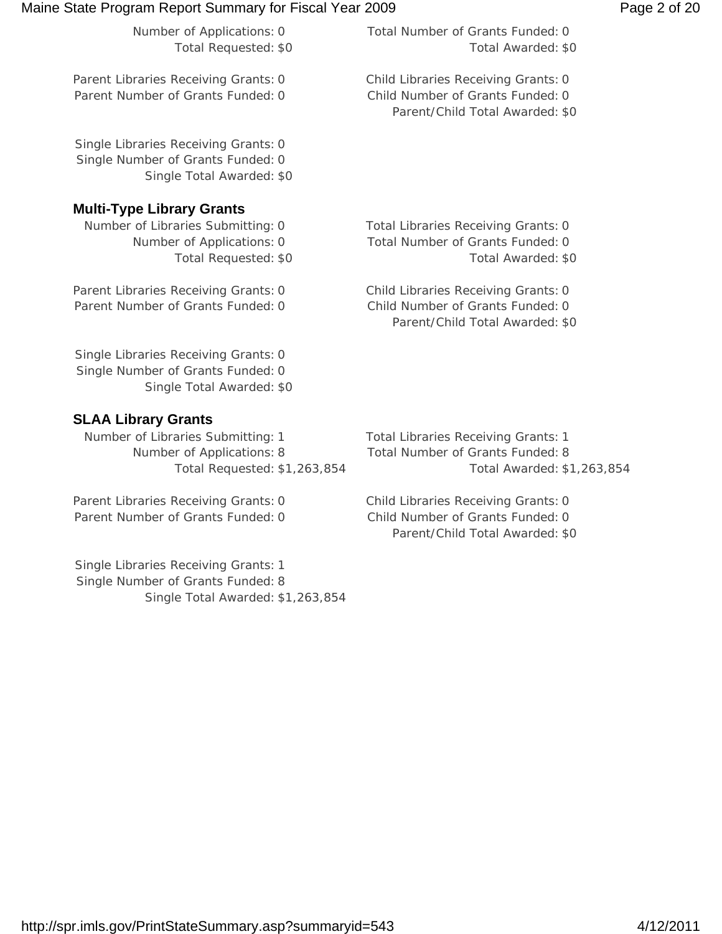| Maine State Program Report Summary for Fiscal Year 2009                                                |                                                                                                            | Page 2 of 20 |
|--------------------------------------------------------------------------------------------------------|------------------------------------------------------------------------------------------------------------|--------------|
| Number of Applications: 0<br>Total Requested: \$0                                                      | Total Number of Grants Funded: 0<br>Total Awarded: \$0                                                     |              |
| Parent Libraries Receiving Grants: 0<br>Parent Number of Grants Funded: 0                              | Child Libraries Receiving Grants: 0<br>Child Number of Grants Funded: 0<br>Parent/Child Total Awarded: \$0 |              |
| Single Libraries Receiving Grants: 0<br>Single Number of Grants Funded: 0<br>Single Total Awarded: \$0 |                                                                                                            |              |
| <b>Multi-Type Library Grants</b>                                                                       |                                                                                                            |              |
| Number of Libraries Submitting: 0<br>Number of Applications: 0<br>Total Requested: \$0                 | Total Libraries Receiving Grants: 0<br>Total Number of Grants Funded: 0<br>Total Awarded: \$0              |              |
| Parent Libraries Receiving Grants: 0<br>Parent Number of Grants Funded: 0                              | Child Libraries Receiving Grants: 0<br>Child Number of Grants Funded: 0<br>Parent/Child Total Awarded: \$0 |              |
| Single Libraries Receiving Grants: 0<br>Single Number of Grants Funded: 0<br>Single Total Awarded: \$0 |                                                                                                            |              |

# **SLAA Library Grants**

Number of Libraries Submitting: 1 Total Libraries Receiving Grants: 1 Number of Applications: 8 Total Number of Grants Funded: 8

Parent Libraries Receiving Grants: 0 Child Libraries Receiving Grants: 0 Parent Number of Grants Funded: 0 Child Number of Grants Funded: 0

Single Libraries Receiving Grants: 1 Single Number of Grants Funded: 8 Single Total Awarded: \$1,263,854

Total Requested: \$1,263,854 Total Awarded: \$1,263,854

Parent/Child Total Awarded: \$0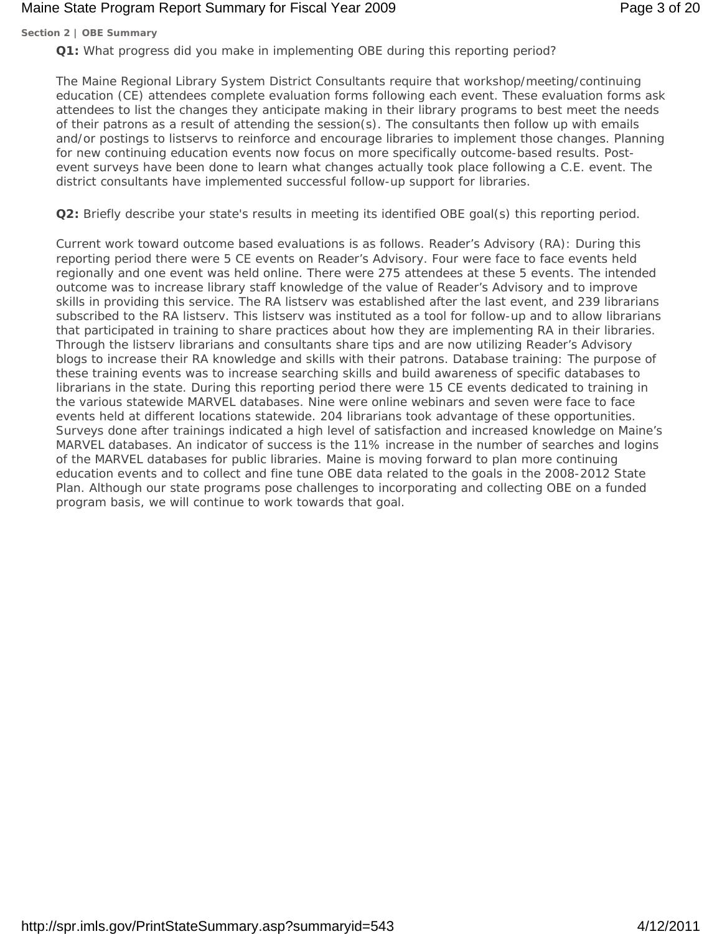# Maine State Program Report Summary for Fiscal Year 2009 **Page 3 of 20** Page 3 of 20

#### **Section 2 | OBE Summary**

**Q1:** What progress did you make in implementing OBE during this reporting period?

The Maine Regional Library System District Consultants require that workshop/meeting/continuing education (CE) attendees complete evaluation forms following each event. These evaluation forms ask attendees to list the changes they anticipate making in their library programs to best meet the needs of their patrons as a result of attending the session(s). The consultants then follow up with emails and/or postings to listservs to reinforce and encourage libraries to implement those changes. Planning for new continuing education events now focus on more specifically outcome-based results. Postevent surveys have been done to learn what changes actually took place following a C.E. event. The district consultants have implemented successful follow-up support for libraries.

**Q2:** Briefly describe your state's results in meeting its identified OBE goal(s) this reporting period.

Current work toward outcome based evaluations is as follows. Reader's Advisory (RA): During this reporting period there were 5 CE events on Reader's Advisory. Four were face to face events held regionally and one event was held online. There were 275 attendees at these 5 events. The intended outcome was to increase library staff knowledge of the value of Reader's Advisory and to improve skills in providing this service. The RA listserv was established after the last event, and 239 librarians subscribed to the RA listserv. This listserv was instituted as a tool for follow-up and to allow librarians that participated in training to share practices about how they are implementing RA in their libraries. Through the listserv librarians and consultants share tips and are now utilizing Reader's Advisory blogs to increase their RA knowledge and skills with their patrons. Database training: The purpose of these training events was to increase searching skills and build awareness of specific databases to librarians in the state. During this reporting period there were 15 CE events dedicated to training in the various statewide MARVEL databases. Nine were online webinars and seven were face to face events held at different locations statewide. 204 librarians took advantage of these opportunities. Surveys done after trainings indicated a high level of satisfaction and increased knowledge on Maine's MARVEL databases. An indicator of success is the 11% increase in the number of searches and logins of the MARVEL databases for public libraries. Maine is moving forward to plan more continuing education events and to collect and fine tune OBE data related to the goals in the 2008-2012 State Plan. Although our state programs pose challenges to incorporating and collecting OBE on a funded program basis, we will continue to work towards that goal.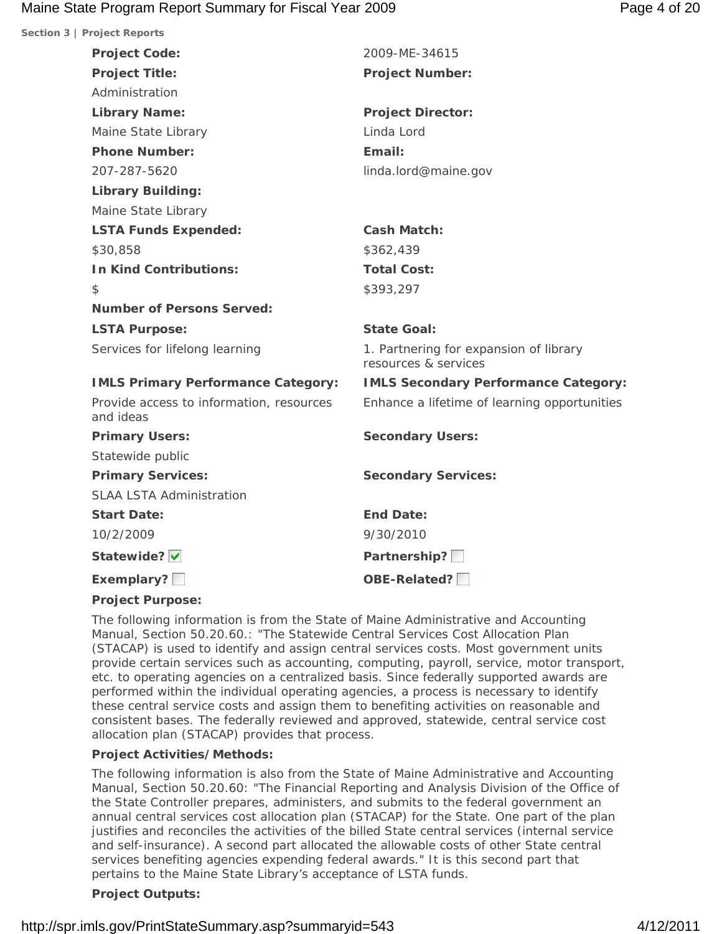# Maine State Program Report Summary for Fiscal Year 2009 **Page 4 of 20** Page 4 of 20

| Section 3   Project Reports                           |                                                                |
|-------------------------------------------------------|----------------------------------------------------------------|
| <b>Project Code:</b>                                  | 2009-ME-34615                                                  |
| <b>Project Title:</b>                                 | <b>Project Number:</b>                                         |
| Administration                                        |                                                                |
| <b>Library Name:</b>                                  | <b>Project Director:</b>                                       |
| Maine State Library                                   | Linda Lord                                                     |
| <b>Phone Number:</b>                                  | Email:                                                         |
| 207-287-5620                                          | linda.lord@maine.gov                                           |
| <b>Library Building:</b>                              |                                                                |
| Maine State Library                                   |                                                                |
| <b>LSTA Funds Expended:</b>                           | <b>Cash Match:</b>                                             |
| \$30,858                                              | \$362,439                                                      |
| <b>In Kind Contributions:</b>                         | <b>Total Cost:</b>                                             |
| $\mathcal{L}$                                         | \$393,297                                                      |
| <b>Number of Persons Served:</b>                      |                                                                |
| <b>LSTA Purpose:</b>                                  | <b>State Goal:</b>                                             |
| Services for lifelong learning                        | 1. Partnering for expansion of library<br>resources & services |
| <b>IMLS Primary Performance Category:</b>             | <b>IMLS Secondary Performance Category:</b>                    |
| Provide access to information, resources<br>and ideas | Enhance a lifetime of learning opportunities                   |
| <b>Primary Users:</b>                                 | <b>Secondary Users:</b>                                        |
| Statewide public                                      |                                                                |
| <b>Primary Services:</b>                              | <b>Secondary Services:</b>                                     |
| <b>SLAA LSTA Administration</b>                       |                                                                |
| <b>Start Date:</b>                                    | <b>End Date:</b>                                               |
| 10/2/2009                                             | 9/30/2010                                                      |
| Statewide? V                                          | Partnership?                                                   |
| Exemplary?                                            | OBE-Related?                                                   |
|                                                       |                                                                |

#### **Project Purpose:**

The following information is from the State of Maine Administrative and Accounting Manual, Section 50.20.60.: "The Statewide Central Services Cost Allocation Plan (STACAP) is used to identify and assign central services costs. Most government units provide certain services such as accounting, computing, payroll, service, motor transport, etc. to operating agencies on a centralized basis. Since federally supported awards are performed within the individual operating agencies, a process is necessary to identify these central service costs and assign them to benefiting activities on reasonable and consistent bases. The federally reviewed and approved, statewide, central service cost allocation plan (STACAP) provides that process.

#### **Project Activities/Methods:**

The following information is also from the State of Maine Administrative and Accounting Manual, Section 50.20.60: "The Financial Reporting and Analysis Division of the Office of the State Controller prepares, administers, and submits to the federal government an annual central services cost allocation plan (STACAP) for the State. One part of the plan justifies and reconciles the activities of the billed State central services (internal service and self-insurance). A second part allocated the allowable costs of other State central services benefiting agencies expending federal awards." It is this second part that pertains to the Maine State Library's acceptance of LSTA funds.

#### **Project Outputs:**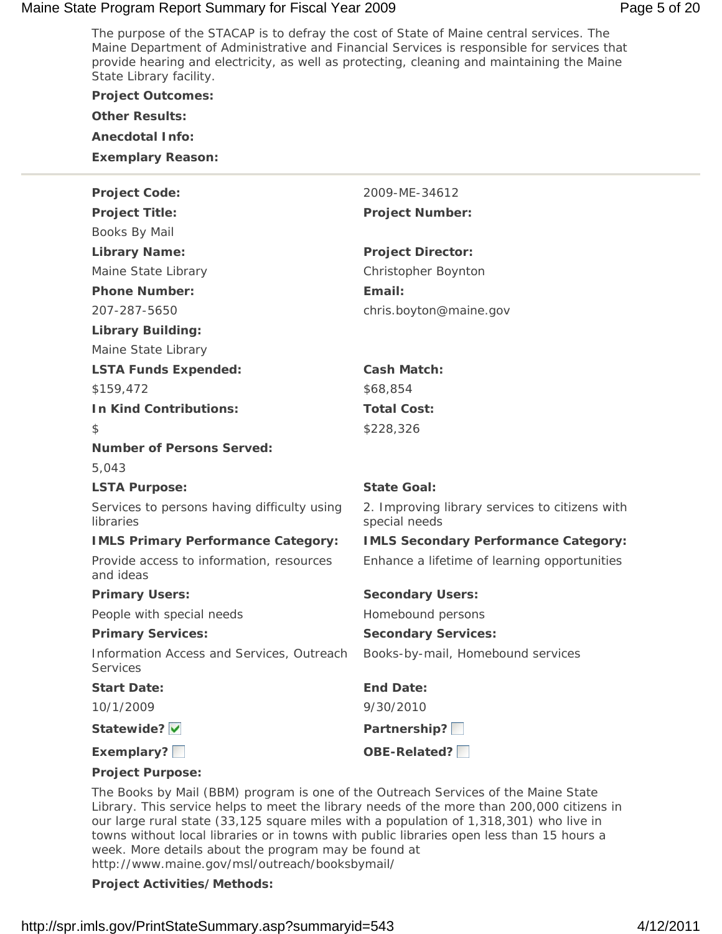# Maine State Program Report Summary for Fiscal Year 2009 **Page 5 of 20** Page 5 of 20

The purpose of the STACAP is to defray the cost of State of Maine central services. The Maine Department of Administrative and Financial Services is responsible for services that provide hearing and electricity, as well as protecting, cleaning and maintaining the Maine State Library facility.

| <b>Project Outcomes:</b>                                     |                                                                 |
|--------------------------------------------------------------|-----------------------------------------------------------------|
| <b>Other Results:</b>                                        |                                                                 |
| <b>Anecdotal Info:</b>                                       |                                                                 |
| <b>Exemplary Reason:</b>                                     |                                                                 |
| <b>Project Code:</b>                                         | 2009-ME-34612                                                   |
| <b>Project Title:</b>                                        | <b>Project Number:</b>                                          |
| Books By Mail                                                |                                                                 |
| <b>Library Name:</b>                                         | <b>Project Director:</b>                                        |
| Maine State Library                                          | Christopher Boynton                                             |
| <b>Phone Number:</b>                                         | Email:                                                          |
| 207-287-5650                                                 | chris.boyton@maine.gov                                          |
| <b>Library Building:</b>                                     |                                                                 |
| Maine State Library                                          |                                                                 |
| <b>LSTA Funds Expended:</b>                                  | <b>Cash Match:</b>                                              |
| \$159,472                                                    | \$68,854                                                        |
| <b>In Kind Contributions:</b>                                | <b>Total Cost:</b>                                              |
| \$                                                           | \$228,326                                                       |
| <b>Number of Persons Served:</b>                             |                                                                 |
| 5,043                                                        |                                                                 |
| <b>LSTA Purpose:</b>                                         | <b>State Goal:</b>                                              |
| Services to persons having difficulty using<br>libraries     | 2. Improving library services to citizens with<br>special needs |
| <b>IMLS Primary Performance Category:</b>                    | <b>IMLS Secondary Performance Category:</b>                     |
| Provide access to information, resources<br>and ideas        | Enhance a lifetime of learning opportunities                    |
| <b>Primary Users:</b>                                        | <b>Secondary Users:</b>                                         |
| People with special needs                                    | Homebound persons                                               |
| <b>Primary Services:</b>                                     | <b>Secondary Services:</b>                                      |
| Information Access and Services, Outreach<br><b>Services</b> | Books-by-mail, Homebound services                               |
| <b>Start Date:</b>                                           | <b>End Date:</b>                                                |
| 10/1/2009                                                    | 9/30/2010                                                       |
| Statewide?                                                   | Partnership?                                                    |
| Exemplary?                                                   | OBE-Related?                                                    |
| <b>Project Purpose:</b>                                      |                                                                 |

The Books by Mail (BBM) program is one of the Outreach Services of the Maine State Library. This service helps to meet the library needs of the more than 200,000 citizens in our large rural state (33,125 square miles with a population of 1,318,301) who live in towns without local libraries or in towns with public libraries open less than 15 hours a week. More details about the program may be found at http://www.maine.gov/msl/outreach/booksbymail/

#### **Project Activities/Methods:**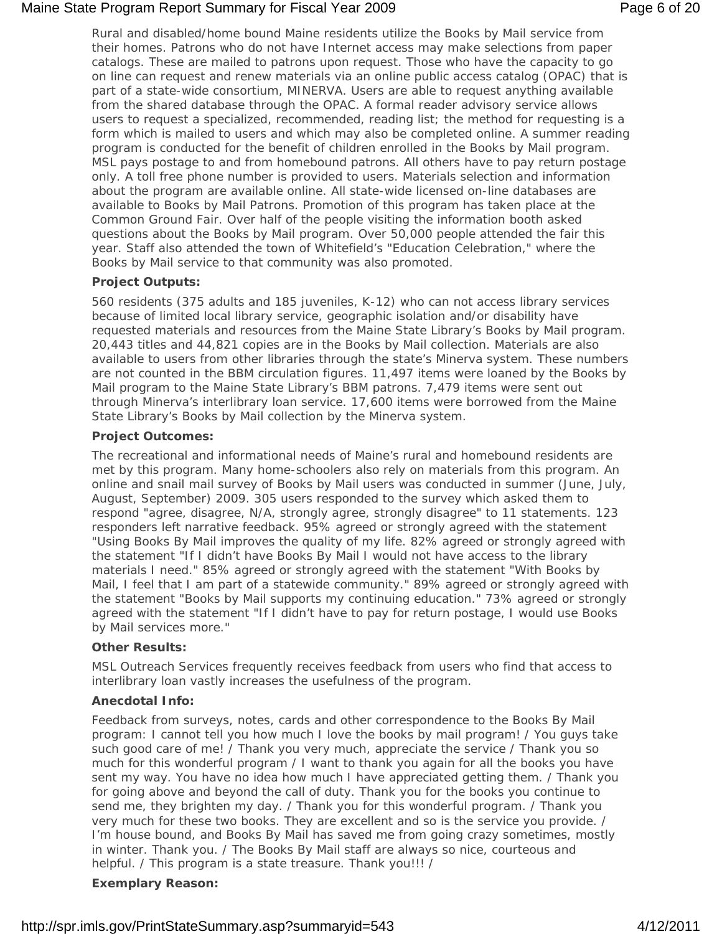# Maine State Program Report Summary for Fiscal Year 2009 **Page 6 of 20** Page 6 of 20

Rural and disabled/home bound Maine residents utilize the Books by Mail service from their homes. Patrons who do not have Internet access may make selections from paper catalogs. These are mailed to patrons upon request. Those who have the capacity to go on line can request and renew materials via an online public access catalog (OPAC) that is part of a state-wide consortium, MINERVA. Users are able to request anything available from the shared database through the OPAC. A formal reader advisory service allows users to request a specialized, recommended, reading list; the method for requesting is a form which is mailed to users and which may also be completed online. A summer reading program is conducted for the benefit of children enrolled in the Books by Mail program. MSL pays postage to and from homebound patrons. All others have to pay return postage only. A toll free phone number is provided to users. Materials selection and information about the program are available online. All state-wide licensed on-line databases are available to Books by Mail Patrons. Promotion of this program has taken place at the Common Ground Fair. Over half of the people visiting the information booth asked questions about the Books by Mail program. Over 50,000 people attended the fair this year. Staff also attended the town of Whitefield's "Education Celebration," where the Books by Mail service to that community was also promoted.

# **Project Outputs:**

560 residents (375 adults and 185 juveniles, K-12) who can not access library services because of limited local library service, geographic isolation and/or disability have requested materials and resources from the Maine State Library's Books by Mail program. 20,443 titles and 44,821 copies are in the Books by Mail collection. Materials are also available to users from other libraries through the state's Minerva system. These numbers are not counted in the BBM circulation figures. 11,497 items were loaned by the Books by Mail program to the Maine State Library's BBM patrons. 7,479 items were sent out through Minerva's interlibrary loan service. 17,600 items were borrowed from the Maine State Library's Books by Mail collection by the Minerva system.

# **Project Outcomes:**

The recreational and informational needs of Maine's rural and homebound residents are met by this program. Many home-schoolers also rely on materials from this program. An online and snail mail survey of Books by Mail users was conducted in summer (June, July, August, September) 2009. 305 users responded to the survey which asked them to respond "agree, disagree, N/A, strongly agree, strongly disagree" to 11 statements. 123 responders left narrative feedback. 95% agreed or strongly agreed with the statement "Using Books By Mail improves the quality of my life. 82% agreed or strongly agreed with the statement "If I didn't have Books By Mail I would not have access to the library materials I need." 85% agreed or strongly agreed with the statement "With Books by Mail, I feel that I am part of a statewide community." 89% agreed or strongly agreed with the statement "Books by Mail supports my continuing education." 73% agreed or strongly agreed with the statement "If I didn't have to pay for return postage, I would use Books by Mail services more."

#### **Other Results:**

MSL Outreach Services frequently receives feedback from users who find that access to interlibrary loan vastly increases the usefulness of the program.

# **Anecdotal Info:**

Feedback from surveys, notes, cards and other correspondence to the Books By Mail program: I cannot tell you how much I love the books by mail program! / You guys take such good care of me! / Thank you very much, appreciate the service / Thank you so much for this wonderful program / I want to thank you again for all the books you have sent my way. You have no idea how much I have appreciated getting them. / Thank you for going above and beyond the call of duty. Thank you for the books you continue to send me, they brighten my day. / Thank you for this wonderful program. / Thank you very much for these two books. They are excellent and so is the service you provide. / I'm house bound, and Books By Mail has saved me from going crazy sometimes, mostly in winter. Thank you. / The Books By Mail staff are always so nice, courteous and helpful. / This program is a state treasure. Thank you!!! /

# **Exemplary Reason:**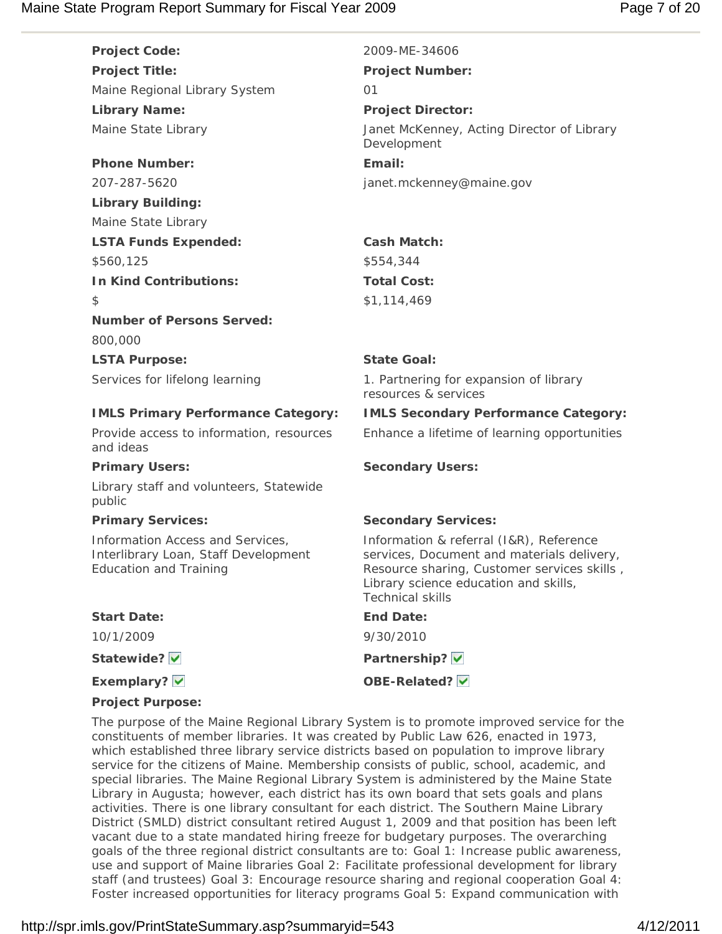| <b>Project Code:</b>                                                                                      | 2009-ME-34606                                                                                                                                                                                            |
|-----------------------------------------------------------------------------------------------------------|----------------------------------------------------------------------------------------------------------------------------------------------------------------------------------------------------------|
| <b>Project Title:</b>                                                                                     | <b>Project Number:</b>                                                                                                                                                                                   |
| Maine Regional Library System                                                                             | O <sub>1</sub>                                                                                                                                                                                           |
| <b>Library Name:</b>                                                                                      | <b>Project Director:</b>                                                                                                                                                                                 |
| Maine State Library                                                                                       | Janet McKenney, Acting Director of Library<br>Development                                                                                                                                                |
| <b>Phone Number:</b>                                                                                      | Email:                                                                                                                                                                                                   |
| 207-287-5620                                                                                              | janet.mckenney@maine.gov                                                                                                                                                                                 |
| <b>Library Building:</b>                                                                                  |                                                                                                                                                                                                          |
| Maine State Library                                                                                       |                                                                                                                                                                                                          |
| <b>LSTA Funds Expended:</b>                                                                               | <b>Cash Match:</b>                                                                                                                                                                                       |
| \$560,125                                                                                                 | \$554,344                                                                                                                                                                                                |
| <b>In Kind Contributions:</b>                                                                             | <b>Total Cost:</b>                                                                                                                                                                                       |
| \$                                                                                                        | \$1,114,469                                                                                                                                                                                              |
| <b>Number of Persons Served:</b>                                                                          |                                                                                                                                                                                                          |
| 800,000                                                                                                   |                                                                                                                                                                                                          |
| <b>LSTA Purpose:</b>                                                                                      | <b>State Goal:</b>                                                                                                                                                                                       |
| Services for lifelong learning                                                                            | 1. Partnering for expansion of library<br>resources & services                                                                                                                                           |
| <b>IMLS Primary Performance Category:</b>                                                                 | <b>IMLS Secondary Performance Category:</b>                                                                                                                                                              |
| Provide access to information, resources<br>and ideas                                                     | Enhance a lifetime of learning opportunities                                                                                                                                                             |
| <b>Primary Users:</b>                                                                                     | <b>Secondary Users:</b>                                                                                                                                                                                  |
| Library staff and volunteers, Statewide<br>public                                                         |                                                                                                                                                                                                          |
| <b>Primary Services:</b>                                                                                  | <b>Secondary Services:</b>                                                                                                                                                                               |
| Information Access and Services,<br>Interlibrary Loan, Staff Development<br><b>Education and Training</b> | Information & referral (I&R), Reference<br>services, Document and materials delivery,<br>Resource sharing, Customer services skills,<br>Library science education and skills,<br><b>Technical skills</b> |
| <b>Start Date:</b>                                                                                        | <b>End Date:</b>                                                                                                                                                                                         |
| 10/1/2009                                                                                                 | 9/30/2010                                                                                                                                                                                                |
| Statewide?                                                                                                | Partnership? V                                                                                                                                                                                           |
| Exemplary? V                                                                                              | OBE-Related? V                                                                                                                                                                                           |
| Designt Durange                                                                                           |                                                                                                                                                                                                          |

**Project Purpose:**

The purpose of the Maine Regional Library System is to promote improved service for the constituents of member libraries. It was created by Public Law 626, enacted in 1973, which established three library service districts based on population to improve library service for the citizens of Maine. Membership consists of public, school, academic, and special libraries. The Maine Regional Library System is administered by the Maine State Library in Augusta; however, each district has its own board that sets goals and plans activities. There is one library consultant for each district. The Southern Maine Library District (SMLD) district consultant retired August 1, 2009 and that position has been left vacant due to a state mandated hiring freeze for budgetary purposes. The overarching goals of the three regional district consultants are to: Goal 1: Increase public awareness, use and support of Maine libraries Goal 2: Facilitate professional development for library staff (and trustees) Goal 3: Encourage resource sharing and regional cooperation Goal 4: Foster increased opportunities for literacy programs Goal 5: Expand communication with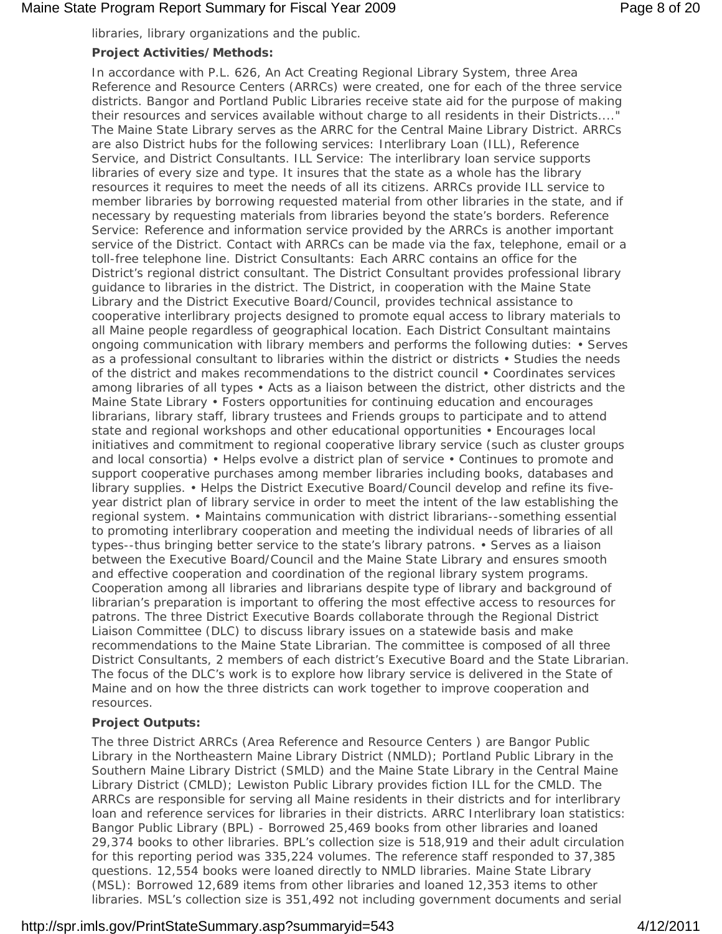# Maine State Program Report Summary for Fiscal Year 2009 **Page 8 of 20** Page 8 of 20

libraries, library organizations and the public.

# **Project Activities/Methods:**

In accordance with P.L. 626, An Act Creating Regional Library System, three Area Reference and Resource Centers (ARRCs) were created, one for each of the three service districts. Bangor and Portland Public Libraries receive state aid for the purpose of making their resources and services available without charge to all residents in their Districts...." The Maine State Library serves as the ARRC for the Central Maine Library District. ARRCs are also District hubs for the following services: Interlibrary Loan (ILL), Reference Service, and District Consultants. ILL Service: The interlibrary loan service supports libraries of every size and type. It insures that the state as a whole has the library resources it requires to meet the needs of all its citizens. ARRCs provide ILL service to member libraries by borrowing requested material from other libraries in the state, and if necessary by requesting materials from libraries beyond the state's borders. Reference Service: Reference and information service provided by the ARRCs is another important service of the District. Contact with ARRCs can be made via the fax, telephone, email or a toll-free telephone line. District Consultants: Each ARRC contains an office for the District's regional district consultant. The District Consultant provides professional library guidance to libraries in the district. The District, in cooperation with the Maine State Library and the District Executive Board/Council, provides technical assistance to cooperative interlibrary projects designed to promote equal access to library materials to all Maine people regardless of geographical location. Each District Consultant maintains ongoing communication with library members and performs the following duties: • Serves as a professional consultant to libraries within the district or districts • Studies the needs of the district and makes recommendations to the district council • Coordinates services among libraries of all types • Acts as a liaison between the district, other districts and the Maine State Library • Fosters opportunities for continuing education and encourages librarians, library staff, library trustees and Friends groups to participate and to attend state and regional workshops and other educational opportunities • Encourages local initiatives and commitment to regional cooperative library service (such as cluster groups and local consortia) • Helps evolve a district plan of service • Continues to promote and support cooperative purchases among member libraries including books, databases and library supplies. • Helps the District Executive Board/Council develop and refine its fiveyear district plan of library service in order to meet the intent of the law establishing the regional system. • Maintains communication with district librarians--something essential to promoting interlibrary cooperation and meeting the individual needs of libraries of all types--thus bringing better service to the state's library patrons. • Serves as a liaison between the Executive Board/Council and the Maine State Library and ensures smooth and effective cooperation and coordination of the regional library system programs. Cooperation among all libraries and librarians despite type of library and background of librarian's preparation is important to offering the most effective access to resources for patrons. The three District Executive Boards collaborate through the Regional District Liaison Committee (DLC) to discuss library issues on a statewide basis and make recommendations to the Maine State Librarian. The committee is composed of all three District Consultants, 2 members of each district's Executive Board and the State Librarian. The focus of the DLC's work is to explore how library service is delivered in the State of Maine and on how the three districts can work together to improve cooperation and resources.

# **Project Outputs:**

The three District ARRCs (Area Reference and Resource Centers ) are Bangor Public Library in the Northeastern Maine Library District (NMLD); Portland Public Library in the Southern Maine Library District (SMLD) and the Maine State Library in the Central Maine Library District (CMLD); Lewiston Public Library provides fiction ILL for the CMLD. The ARRCs are responsible for serving all Maine residents in their districts and for interlibrary loan and reference services for libraries in their districts. ARRC Interlibrary loan statistics: Bangor Public Library (BPL) - Borrowed 25,469 books from other libraries and loaned 29,374 books to other libraries. BPL's collection size is 518,919 and their adult circulation for this reporting period was 335,224 volumes. The reference staff responded to 37,385 questions. 12,554 books were loaned directly to NMLD libraries. Maine State Library (MSL): Borrowed 12,689 items from other libraries and loaned 12,353 items to other libraries. MSL's collection size is 351,492 not including government documents and serial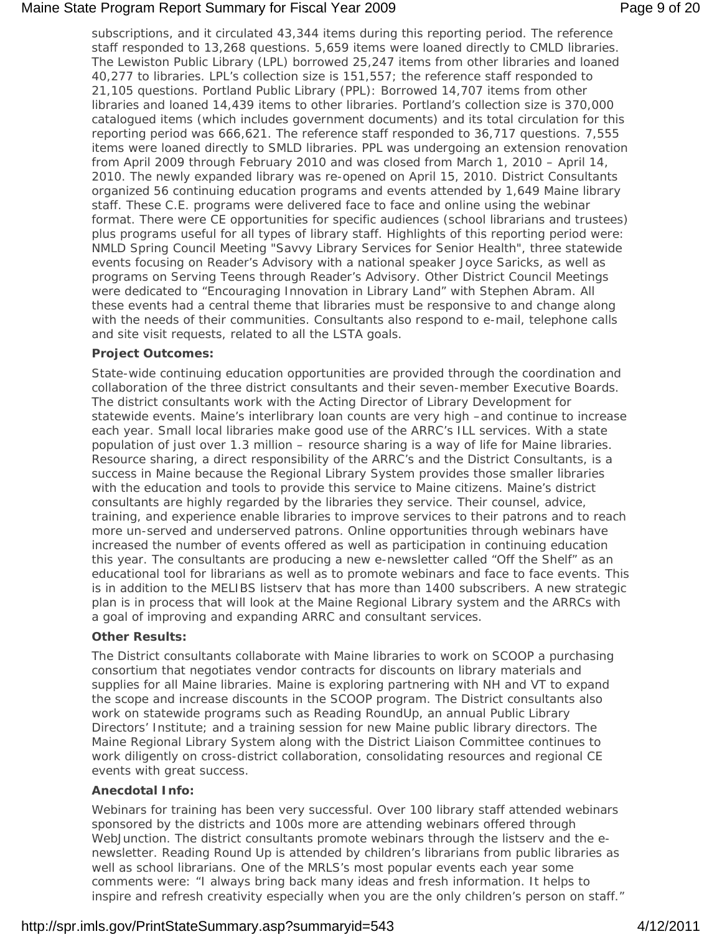# Maine State Program Report Summary for Fiscal Year 2009 **Page 9 of 20** Page 9 of 20

subscriptions, and it circulated 43,344 items during this reporting period. The reference staff responded to 13,268 questions. 5,659 items were loaned directly to CMLD libraries. The Lewiston Public Library (LPL) borrowed 25,247 items from other libraries and loaned 40,277 to libraries. LPL's collection size is 151,557; the reference staff responded to 21,105 questions. Portland Public Library (PPL): Borrowed 14,707 items from other libraries and loaned 14,439 items to other libraries. Portland's collection size is 370,000 catalogued items (which includes government documents) and its total circulation for this reporting period was 666,621. The reference staff responded to 36,717 questions. 7,555 items were loaned directly to SMLD libraries. PPL was undergoing an extension renovation from April 2009 through February 2010 and was closed from March 1, 2010 – April 14, 2010. The newly expanded library was re-opened on April 15, 2010. District Consultants organized 56 continuing education programs and events attended by 1,649 Maine library staff. These C.E. programs were delivered face to face and online using the webinar format. There were CE opportunities for specific audiences (school librarians and trustees) plus programs useful for all types of library staff. Highlights of this reporting period were: NMLD Spring Council Meeting "Savvy Library Services for Senior Health", three statewide events focusing on Reader's Advisory with a national speaker Joyce Saricks, as well as programs on Serving Teens through Reader's Advisory. Other District Council Meetings were dedicated to "Encouraging Innovation in Library Land" with Stephen Abram. All these events had a central theme that libraries must be responsive to and change along with the needs of their communities. Consultants also respond to e-mail, telephone calls and site visit requests, related to all the LSTA goals.

# **Project Outcomes:**

State-wide continuing education opportunities are provided through the coordination and collaboration of the three district consultants and their seven-member Executive Boards. The district consultants work with the Acting Director of Library Development for statewide events. Maine's interlibrary loan counts are very high –and continue to increase each year. Small local libraries make good use of the ARRC's ILL services. With a state population of just over 1.3 million – resource sharing is a way of life for Maine libraries. Resource sharing, a direct responsibility of the ARRC's and the District Consultants, is a success in Maine because the Regional Library System provides those smaller libraries with the education and tools to provide this service to Maine citizens. Maine's district consultants are highly regarded by the libraries they service. Their counsel, advice, training, and experience enable libraries to improve services to their patrons and to reach more un-served and underserved patrons. Online opportunities through webinars have increased the number of events offered as well as participation in continuing education this year. The consultants are producing a new e-newsletter called "Off the Shelf" as an educational tool for librarians as well as to promote webinars and face to face events. This is in addition to the MELIBS listserv that has more than 1400 subscribers. A new strategic plan is in process that will look at the Maine Regional Library system and the ARRCs with a goal of improving and expanding ARRC and consultant services.

#### **Other Results:**

The District consultants collaborate with Maine libraries to work on SCOOP a purchasing consortium that negotiates vendor contracts for discounts on library materials and supplies for all Maine libraries. Maine is exploring partnering with NH and VT to expand the scope and increase discounts in the SCOOP program. The District consultants also work on statewide programs such as Reading RoundUp, an annual Public Library Directors' Institute; and a training session for new Maine public library directors. The Maine Regional Library System along with the District Liaison Committee continues to work diligently on cross-district collaboration, consolidating resources and regional CE events with great success.

#### **Anecdotal Info:**

Webinars for training has been very successful. Over 100 library staff attended webinars sponsored by the districts and 100s more are attending webinars offered through WebJunction. The district consultants promote webinars through the listserv and the enewsletter. Reading Round Up is attended by children's librarians from public libraries as well as school librarians. One of the MRLS's most popular events each year some comments were: "I always bring back many ideas and fresh information. It helps to inspire and refresh creativity especially when you are the only children's person on staff."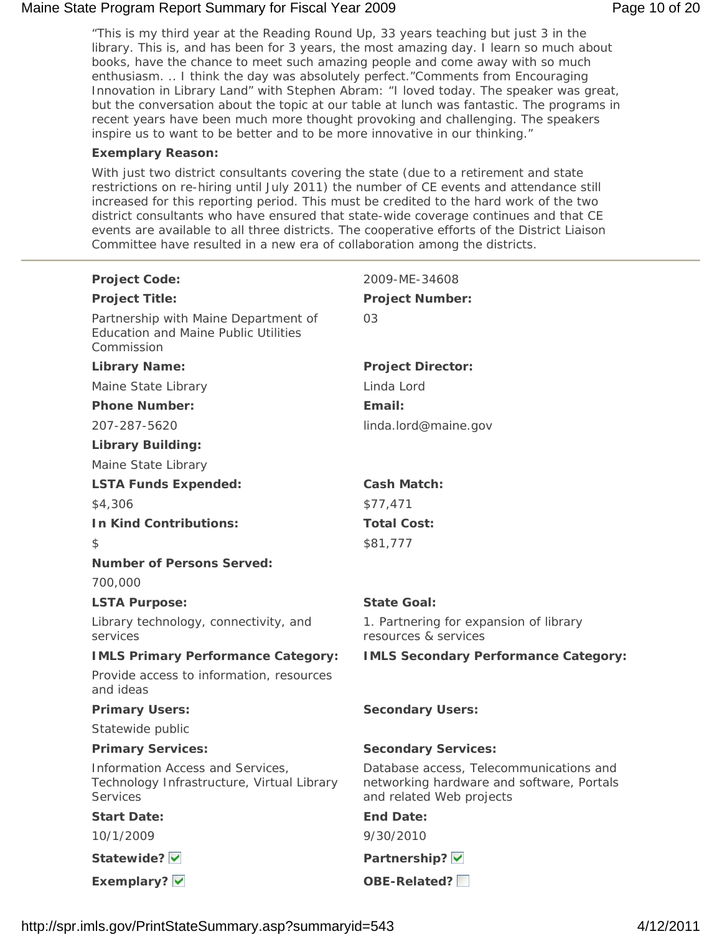# Maine State Program Report Summary for Fiscal Year 2009 **Page 10 of 20** Page 10 of 20

"This is my third year at the Reading Round Up, 33 years teaching but just 3 in the library. This is, and has been for 3 years, the most amazing day. I learn so much about books, have the chance to meet such amazing people and come away with so much enthusiasm. .. I think the day was absolutely perfect."Comments from Encouraging Innovation in Library Land" with Stephen Abram: "I loved today. The speaker was great, but the conversation about the topic at our table at lunch was fantastic. The programs in recent years have been much more thought provoking and challenging. The speakers inspire us to want to be better and to be more innovative in our thinking."

#### **Exemplary Reason:**

With just two district consultants covering the state (due to a retirement and state restrictions on re-hiring until July 2011) the number of CE events and attendance still increased for this reporting period. This must be credited to the hard work of the two district consultants who have ensured that state-wide coverage continues and that CE events are available to all three districts. The cooperative efforts of the District Liaison Committee have resulted in a new era of collaboration among the districts.

| <b>Project Code:</b>                                                                              | 2009-ME-34608                                                                                                    |
|---------------------------------------------------------------------------------------------------|------------------------------------------------------------------------------------------------------------------|
| <b>Project Title:</b>                                                                             | <b>Project Number:</b>                                                                                           |
| Partnership with Maine Department of<br><b>Education and Maine Public Utilities</b><br>Commission | 03                                                                                                               |
| <b>Library Name:</b>                                                                              | <b>Project Director:</b>                                                                                         |
| Maine State Library                                                                               | Linda Lord                                                                                                       |
| <b>Phone Number:</b>                                                                              | Email:                                                                                                           |
| 207-287-5620                                                                                      | linda.lord@maine.gov                                                                                             |
| <b>Library Building:</b>                                                                          |                                                                                                                  |
| Maine State Library                                                                               |                                                                                                                  |
| <b>LSTA Funds Expended:</b>                                                                       | <b>Cash Match:</b>                                                                                               |
| \$4,306                                                                                           | \$77,471                                                                                                         |
| <b>In Kind Contributions:</b>                                                                     | <b>Total Cost:</b>                                                                                               |
| $\frac{1}{2}$                                                                                     | \$81,777                                                                                                         |
| <b>Number of Persons Served:</b>                                                                  |                                                                                                                  |
| 700,000                                                                                           |                                                                                                                  |
| <b>LSTA Purpose:</b>                                                                              | <b>State Goal:</b>                                                                                               |
| Library technology, connectivity, and<br>services                                                 | 1. Partnering for expansion of library<br>resources & services                                                   |
| <b>IMLS Primary Performance Category:</b>                                                         | <b>IMLS Secondary Performance Category:</b>                                                                      |
| Provide access to information, resources<br>and ideas                                             |                                                                                                                  |
| <b>Primary Users:</b>                                                                             | <b>Secondary Users:</b>                                                                                          |
| Statewide public                                                                                  |                                                                                                                  |
| <b>Primary Services:</b>                                                                          | <b>Secondary Services:</b>                                                                                       |
| Information Access and Services,<br>Technology Infrastructure, Virtual Library<br>Services        | Database access, Telecommunications and<br>networking hardware and software, Portals<br>and related Web projects |
| <b>Start Date:</b>                                                                                | <b>End Date:</b>                                                                                                 |
| 10/1/2009                                                                                         | 9/30/2010                                                                                                        |
| Statewide?                                                                                        | Partnership? V                                                                                                   |
| Exemplary? V                                                                                      | <b>OBE-Related?</b>                                                                                              |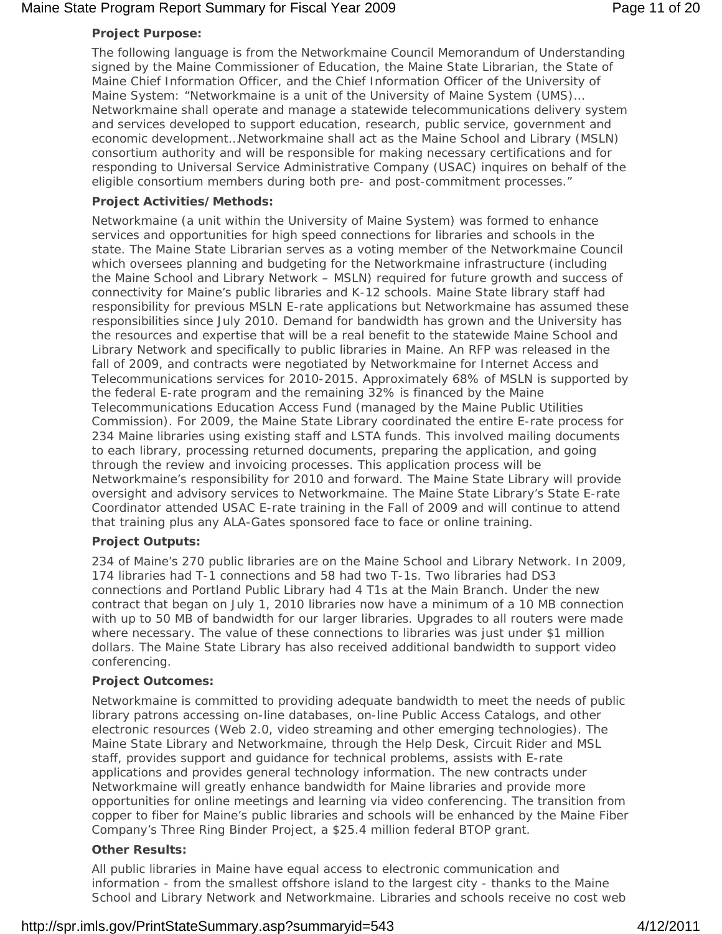# Maine State Program Report Summary for Fiscal Year 2009 **Page 11 of 20** Page 11 of 20

# **Project Purpose:**

The following language is from the Networkmaine Council Memorandum of Understanding signed by the Maine Commissioner of Education, the Maine State Librarian, the State of Maine Chief Information Officer, and the Chief Information Officer of the University of Maine System: "Networkmaine is a unit of the University of Maine System (UMS)… Networkmaine shall operate and manage a statewide telecommunications delivery system and services developed to support education, research, public service, government and economic development…Networkmaine shall act as the Maine School and Library (MSLN) consortium authority and will be responsible for making necessary certifications and for responding to Universal Service Administrative Company (USAC) inquires on behalf of the eligible consortium members during both pre- and post-commitment processes."

# **Project Activities/Methods:**

Networkmaine (a unit within the University of Maine System) was formed to enhance services and opportunities for high speed connections for libraries and schools in the state. The Maine State Librarian serves as a voting member of the Networkmaine Council which oversees planning and budgeting for the Networkmaine infrastructure (including the Maine School and Library Network – MSLN) required for future growth and success of connectivity for Maine's public libraries and K-12 schools. Maine State library staff had responsibility for previous MSLN E-rate applications but Networkmaine has assumed these responsibilities since July 2010. Demand for bandwidth has grown and the University has the resources and expertise that will be a real benefit to the statewide Maine School and Library Network and specifically to public libraries in Maine. An RFP was released in the fall of 2009, and contracts were negotiated by Networkmaine for Internet Access and Telecommunications services for 2010-2015. Approximately 68% of MSLN is supported by the federal E-rate program and the remaining 32% is financed by the Maine Telecommunications Education Access Fund (managed by the Maine Public Utilities Commission). For 2009, the Maine State Library coordinated the entire E-rate process for 234 Maine libraries using existing staff and LSTA funds. This involved mailing documents to each library, processing returned documents, preparing the application, and going through the review and invoicing processes. This application process will be Networkmaine's responsibility for 2010 and forward. The Maine State Library will provide oversight and advisory services to Networkmaine. The Maine State Library's State E-rate Coordinator attended USAC E-rate training in the Fall of 2009 and will continue to attend that training plus any ALA-Gates sponsored face to face or online training.

#### **Project Outputs:**

234 of Maine's 270 public libraries are on the Maine School and Library Network. In 2009, 174 libraries had T-1 connections and 58 had two T-1s. Two libraries had DS3 connections and Portland Public Library had 4 T1s at the Main Branch. Under the new contract that began on July 1, 2010 libraries now have a minimum of a 10 MB connection with up to 50 MB of bandwidth for our larger libraries. Upgrades to all routers were made where necessary. The value of these connections to libraries was just under \$1 million dollars. The Maine State Library has also received additional bandwidth to support video conferencing.

# **Project Outcomes:**

Networkmaine is committed to providing adequate bandwidth to meet the needs of public library patrons accessing on-line databases, on-line Public Access Catalogs, and other electronic resources (Web 2.0, video streaming and other emerging technologies). The Maine State Library and Networkmaine, through the Help Desk, Circuit Rider and MSL staff, provides support and guidance for technical problems, assists with E-rate applications and provides general technology information. The new contracts under Networkmaine will greatly enhance bandwidth for Maine libraries and provide more opportunities for online meetings and learning via video conferencing. The transition from copper to fiber for Maine's public libraries and schools will be enhanced by the Maine Fiber Company's Three Ring Binder Project, a \$25.4 million federal BTOP grant.

# **Other Results:**

All public libraries in Maine have equal access to electronic communication and information - from the smallest offshore island to the largest city - thanks to the Maine School and Library Network and Networkmaine. Libraries and schools receive no cost web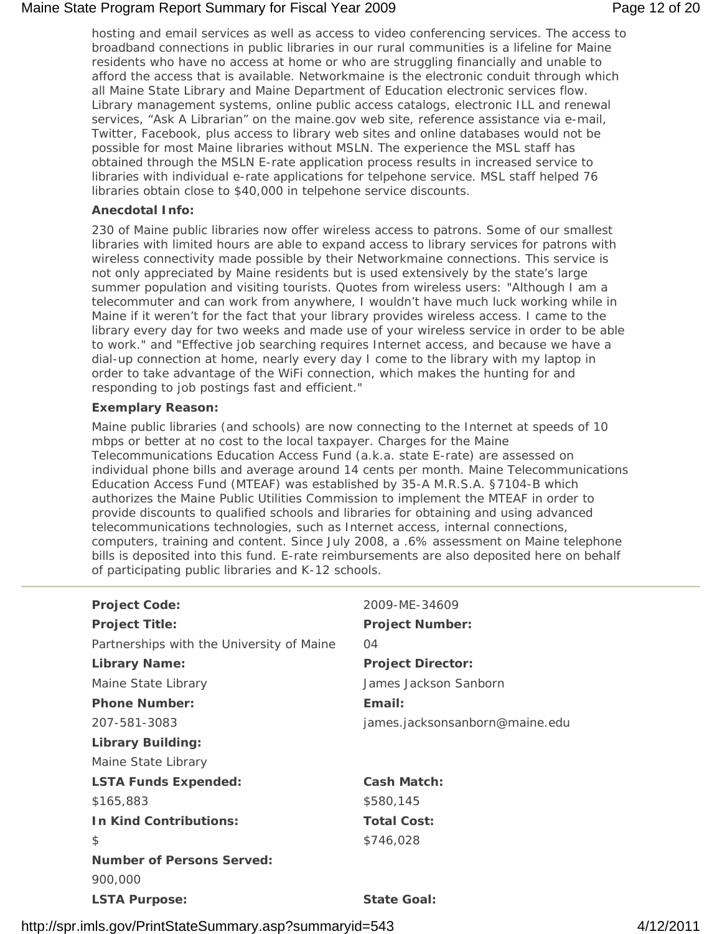# Maine State Program Report Summary for Fiscal Year 2009 **Page 12 of 20** Page 12 of 20

hosting and email services as well as access to video conferencing services. The access to broadband connections in public libraries in our rural communities is a lifeline for Maine residents who have no access at home or who are struggling financially and unable to afford the access that is available. Networkmaine is the electronic conduit through which all Maine State Library and Maine Department of Education electronic services flow. Library management systems, online public access catalogs, electronic ILL and renewal services, "Ask A Librarian" on the maine.gov web site, reference assistance via e-mail, Twitter, Facebook, plus access to library web sites and online databases would not be possible for most Maine libraries without MSLN. The experience the MSL staff has obtained through the MSLN E-rate application process results in increased service to libraries with individual e-rate applications for telpehone service. MSL staff helped 76 libraries obtain close to \$40,000 in telpehone service discounts.

# **Anecdotal Info:**

230 of Maine public libraries now offer wireless access to patrons. Some of our smallest libraries with limited hours are able to expand access to library services for patrons with wireless connectivity made possible by their Networkmaine connections. This service is not only appreciated by Maine residents but is used extensively by the state's large summer population and visiting tourists. Quotes from wireless users: "Although I am a telecommuter and can work from anywhere, I wouldn't have much luck working while in Maine if it weren't for the fact that your library provides wireless access. I came to the library every day for two weeks and made use of your wireless service in order to be able to work." and "Effective job searching requires Internet access, and because we have a dial-up connection at home, nearly every day I come to the library with my laptop in order to take advantage of the WiFi connection, which makes the hunting for and responding to job postings fast and efficient."

#### **Exemplary Reason:**

Maine public libraries (and schools) are now connecting to the Internet at speeds of 10 mbps or better at no cost to the local taxpayer. Charges for the Maine Telecommunications Education Access Fund (a.k.a. state E-rate) are assessed on individual phone bills and average around 14 cents per month. Maine Telecommunications Education Access Fund (MTEAF) was established by 35-A M.R.S.A. §7104-B which authorizes the Maine Public Utilities Commission to implement the MTEAF in order to provide discounts to qualified schools and libraries for obtaining and using advanced telecommunications technologies, such as Internet access, internal connections, computers, training and content. Since July 2008, a .6% assessment on Maine telephone bills is deposited into this fund. E-rate reimbursements are also deposited here on behalf of participating public libraries and K-12 schools.

| <b>Project Code:</b>                      | 2009-ME-34609                  |
|-------------------------------------------|--------------------------------|
| <b>Project Title:</b>                     | <b>Project Number:</b>         |
| Partnerships with the University of Maine | 04                             |
| <b>Library Name:</b>                      | <b>Project Director:</b>       |
| Maine State Library                       | James Jackson Sanborn          |
| <b>Phone Number:</b>                      | Email:                         |
| 207-581-3083                              | james.jacksonsanborn@maine.edu |
| <b>Library Building:</b>                  |                                |
| Maine State Library                       |                                |
| <b>LSTA Funds Expended:</b>               | <b>Cash Match:</b>             |
| \$165,883                                 | \$580,145                      |
| <b>In Kind Contributions:</b>             | <b>Total Cost:</b>             |
| \$                                        | \$746,028                      |
| <b>Number of Persons Served:</b>          |                                |
| 900,000                                   |                                |
| <b>LSTA Purpose:</b>                      | <b>State Goal:</b>             |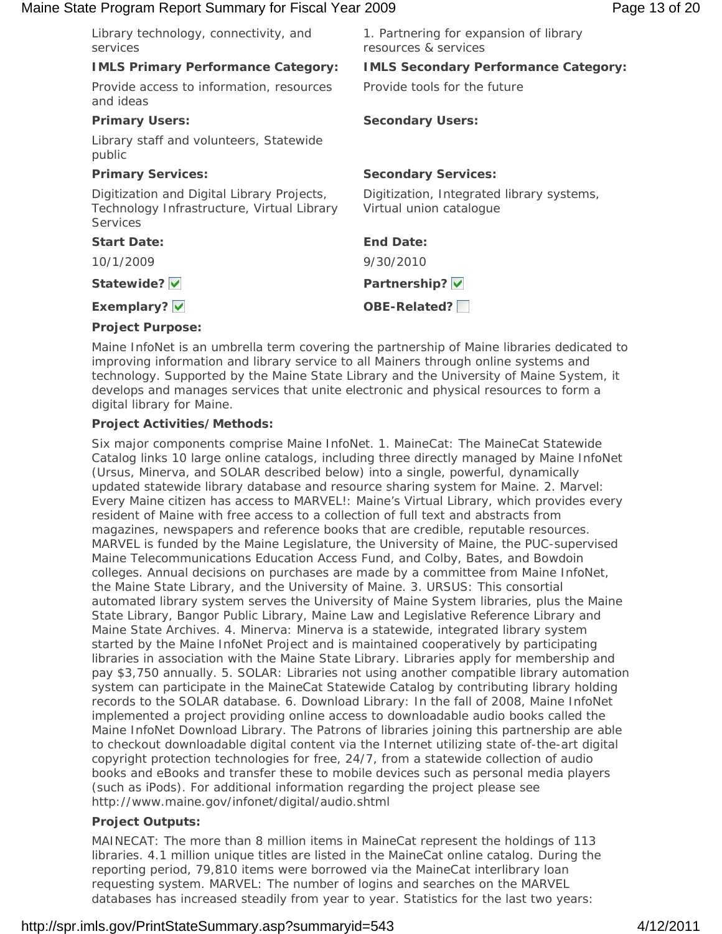## Maine State Program Report Summary for Fiscal Year 2009 **Page 13 of 20** Page 13 of 20

| 1. Partnering for expansion of library<br>resources & services       |
|----------------------------------------------------------------------|
| <b>IMLS Secondary Performance Category:</b>                          |
| Provide tools for the future                                         |
| <b>Secondary Users:</b>                                              |
|                                                                      |
| <b>Secondary Services:</b>                                           |
| Digitization, Integrated library systems,<br>Virtual union catalogue |
| <b>End Date:</b>                                                     |
| 9/30/2010                                                            |
| Partnership? V                                                       |
| <b>OBE-Related?</b>                                                  |
|                                                                      |

#### **Project Purpose:**

Maine InfoNet is an umbrella term covering the partnership of Maine libraries dedicated to improving information and library service to all Mainers through online systems and technology. Supported by the Maine State Library and the University of Maine System, it develops and manages services that unite electronic and physical resources to form a digital library for Maine.

# **Project Activities/Methods:**

Six major components comprise Maine InfoNet. 1. MaineCat: The MaineCat Statewide Catalog links 10 large online catalogs, including three directly managed by Maine InfoNet (Ursus, Minerva, and SOLAR described below) into a single, powerful, dynamically updated statewide library database and resource sharing system for Maine. 2. Marvel: Every Maine citizen has access to MARVEL!: Maine's Virtual Library, which provides every resident of Maine with free access to a collection of full text and abstracts from magazines, newspapers and reference books that are credible, reputable resources. MARVEL is funded by the Maine Legislature, the University of Maine, the PUC-supervised Maine Telecommunications Education Access Fund, and Colby, Bates, and Bowdoin colleges. Annual decisions on purchases are made by a committee from Maine InfoNet, the Maine State Library, and the University of Maine. 3. URSUS: This consortial automated library system serves the University of Maine System libraries, plus the Maine State Library, Bangor Public Library, Maine Law and Legislative Reference Library and Maine State Archives. 4. Minerva: Minerva is a statewide, integrated library system started by the Maine InfoNet Project and is maintained cooperatively by participating libraries in association with the Maine State Library. Libraries apply for membership and pay \$3,750 annually. 5. SOLAR: Libraries not using another compatible library automation system can participate in the MaineCat Statewide Catalog by contributing library holding records to the SOLAR database. 6. Download Library: In the fall of 2008, Maine InfoNet implemented a project providing online access to downloadable audio books called the Maine InfoNet Download Library. The Patrons of libraries joining this partnership are able to checkout downloadable digital content via the Internet utilizing state of-the-art digital copyright protection technologies for free, 24/7, from a statewide collection of audio books and eBooks and transfer these to mobile devices such as personal media players (such as iPods). For additional information regarding the project please see http://www.maine.gov/infonet/digital/audio.shtml

# **Project Outputs:**

MAINECAT: The more than 8 million items in MaineCat represent the holdings of 113 libraries. 4.1 million unique titles are listed in the MaineCat online catalog. During the reporting period, 79,810 items were borrowed via the MaineCat interlibrary loan requesting system. MARVEL: The number of logins and searches on the MARVEL databases has increased steadily from year to year. Statistics for the last two years: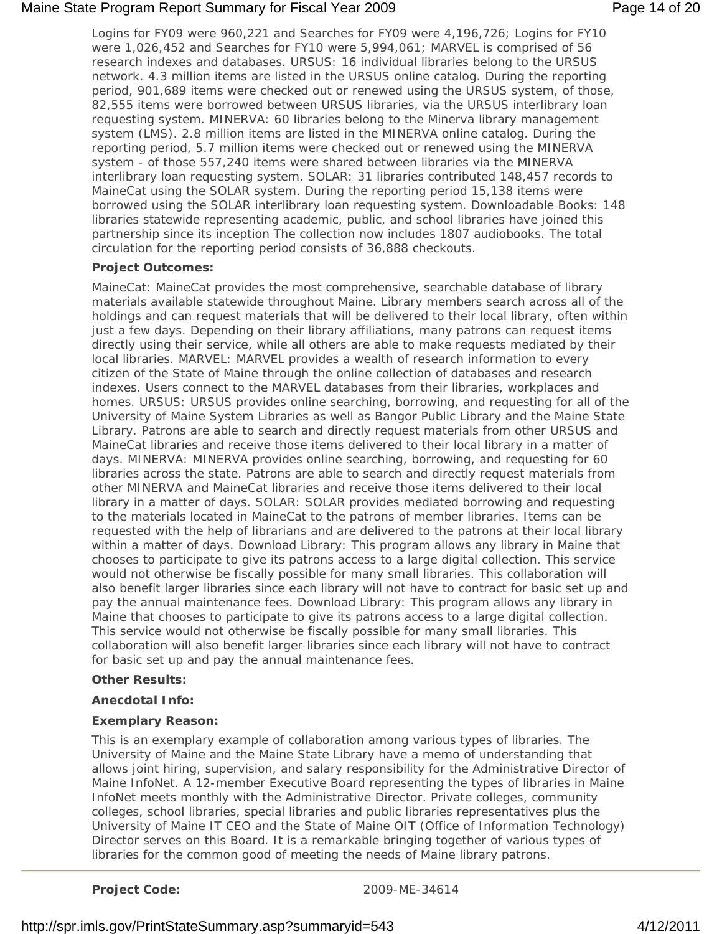# Maine State Program Report Summary for Fiscal Year 2009 **Page 14 of 20** Page 14 of 20

Logins for FY09 were 960,221 and Searches for FY09 were 4,196,726; Logins for FY10 were 1,026,452 and Searches for FY10 were 5,994,061; MARVEL is comprised of 56 research indexes and databases. URSUS: 16 individual libraries belong to the URSUS network. 4.3 million items are listed in the URSUS online catalog. During the reporting period, 901,689 items were checked out or renewed using the URSUS system, of those, 82,555 items were borrowed between URSUS libraries, via the URSUS interlibrary loan requesting system. MINERVA: 60 libraries belong to the Minerva library management system (LMS). 2.8 million items are listed in the MINERVA online catalog. During the reporting period, 5.7 million items were checked out or renewed using the MINERVA system - of those 557,240 items were shared between libraries via the MINERVA interlibrary loan requesting system. SOLAR: 31 libraries contributed 148,457 records to MaineCat using the SOLAR system. During the reporting period 15,138 items were borrowed using the SOLAR interlibrary loan requesting system. Downloadable Books: 148 libraries statewide representing academic, public, and school libraries have joined this partnership since its inception The collection now includes 1807 audiobooks. The total circulation for the reporting period consists of 36,888 checkouts.

# **Project Outcomes:**

MaineCat: MaineCat provides the most comprehensive, searchable database of library materials available statewide throughout Maine. Library members search across all of the holdings and can request materials that will be delivered to their local library, often within just a few days. Depending on their library affiliations, many patrons can request items directly using their service, while all others are able to make requests mediated by their local libraries. MARVEL: MARVEL provides a wealth of research information to every citizen of the State of Maine through the online collection of databases and research indexes. Users connect to the MARVEL databases from their libraries, workplaces and homes. URSUS: URSUS provides online searching, borrowing, and requesting for all of the University of Maine System Libraries as well as Bangor Public Library and the Maine State Library. Patrons are able to search and directly request materials from other URSUS and MaineCat libraries and receive those items delivered to their local library in a matter of days. MINERVA: MINERVA provides online searching, borrowing, and requesting for 60 libraries across the state. Patrons are able to search and directly request materials from other MINERVA and MaineCat libraries and receive those items delivered to their local library in a matter of days. SOLAR: SOLAR provides mediated borrowing and requesting to the materials located in MaineCat to the patrons of member libraries. Items can be requested with the help of librarians and are delivered to the patrons at their local library within a matter of days. Download Library: This program allows any library in Maine that chooses to participate to give its patrons access to a large digital collection. This service would not otherwise be fiscally possible for many small libraries. This collaboration will also benefit larger libraries since each library will not have to contract for basic set up and pay the annual maintenance fees. Download Library: This program allows any library in Maine that chooses to participate to give its patrons access to a large digital collection. This service would not otherwise be fiscally possible for many small libraries. This collaboration will also benefit larger libraries since each library will not have to contract for basic set up and pay the annual maintenance fees.

#### **Other Results:**

#### **Anecdotal Info:**

# **Exemplary Reason:**

This is an exemplary example of collaboration among various types of libraries. The University of Maine and the Maine State Library have a memo of understanding that allows joint hiring, supervision, and salary responsibility for the Administrative Director of Maine InfoNet. A 12-member Executive Board representing the types of libraries in Maine InfoNet meets monthly with the Administrative Director. Private colleges, community colleges, school libraries, special libraries and public libraries representatives plus the University of Maine IT CEO and the State of Maine OIT (Office of Information Technology) Director serves on this Board. It is a remarkable bringing together of various types of libraries for the common good of meeting the needs of Maine library patrons.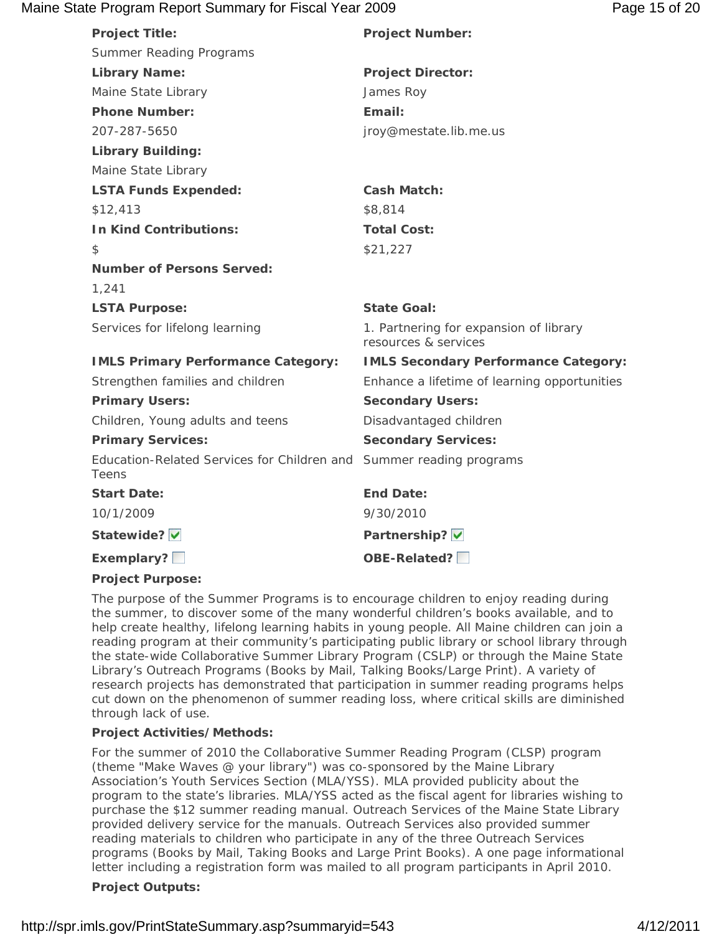# Maine State Program Report Summary for Fiscal Year 2009 **Page 15 of 20** Page 15 of 20

| <b>Project Title:</b>                                | <b>Project Number:</b>                                         |
|------------------------------------------------------|----------------------------------------------------------------|
| <b>Summer Reading Programs</b>                       |                                                                |
| <b>Library Name:</b>                                 | <b>Project Director:</b>                                       |
| Maine State Library                                  | James Roy                                                      |
| <b>Phone Number:</b>                                 | Email:                                                         |
| 207-287-5650                                         | jroy@mestate.lib.me.us                                         |
| <b>Library Building:</b>                             |                                                                |
| Maine State Library                                  |                                                                |
| <b>LSTA Funds Expended:</b>                          | <b>Cash Match:</b>                                             |
| \$12,413                                             | \$8,814                                                        |
| <b>In Kind Contributions:</b>                        | <b>Total Cost:</b>                                             |
| \$                                                   | \$21,227                                                       |
| <b>Number of Persons Served:</b>                     |                                                                |
| 1,241                                                |                                                                |
| <b>LSTA Purpose:</b>                                 | <b>State Goal:</b>                                             |
| Services for lifelong learning                       | 1. Partnering for expansion of library<br>resources & services |
| <b>IMLS Primary Performance Category:</b>            | <b>IMLS Secondary Performance Category:</b>                    |
| Strengthen families and children                     | Enhance a lifetime of learning opportunities                   |
| <b>Primary Users:</b>                                | <b>Secondary Users:</b>                                        |
| Children, Young adults and teens                     | Disadvantaged children                                         |
| <b>Primary Services:</b>                             | <b>Secondary Services:</b>                                     |
| Education-Related Services for Children and<br>Teens | Summer reading programs                                        |
| <b>Start Date:</b>                                   | <b>End Date:</b>                                               |
| 10/1/2009                                            | 9/30/2010                                                      |
| Statewide?                                           | Partnership? V                                                 |
| Exemplary?                                           | OBE-Related?                                                   |
|                                                      |                                                                |

# **Project Purpose:**

The purpose of the Summer Programs is to encourage children to enjoy reading during the summer, to discover some of the many wonderful children's books available, and to help create healthy, lifelong learning habits in young people. All Maine children can join a reading program at their community's participating public library or school library through the state-wide Collaborative Summer Library Program (CSLP) or through the Maine State Library's Outreach Programs (Books by Mail, Talking Books/Large Print). A variety of research projects has demonstrated that participation in summer reading programs helps cut down on the phenomenon of summer reading loss, where critical skills are diminished through lack of use.

# **Project Activities/Methods:**

For the summer of 2010 the Collaborative Summer Reading Program (CLSP) program (theme "Make Waves @ your library") was co-sponsored by the Maine Library Association's Youth Services Section (MLA/YSS). MLA provided publicity about the program to the state's libraries. MLA/YSS acted as the fiscal agent for libraries wishing to purchase the \$12 summer reading manual. Outreach Services of the Maine State Library provided delivery service for the manuals. Outreach Services also provided summer reading materials to children who participate in any of the three Outreach Services programs (Books by Mail, Taking Books and Large Print Books). A one page informational letter including a registration form was mailed to all program participants in April 2010.

# **Project Outputs:**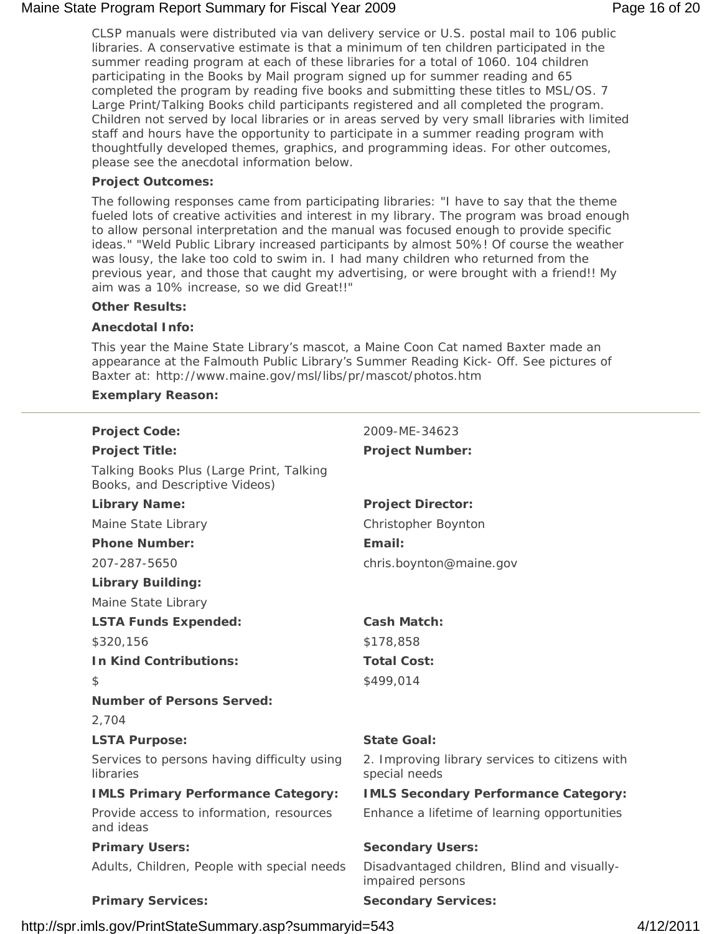# Maine State Program Report Summary for Fiscal Year 2009 **Page 16 of 20** Page 16 of 20

CLSP manuals were distributed via van delivery service or U.S. postal mail to 106 public libraries. A conservative estimate is that a minimum of ten children participated in the summer reading program at each of these libraries for a total of 1060. 104 children participating in the Books by Mail program signed up for summer reading and 65 completed the program by reading five books and submitting these titles to MSL/OS. 7 Large Print/Talking Books child participants registered and all completed the program. Children not served by local libraries or in areas served by very small libraries with limited staff and hours have the opportunity to participate in a summer reading program with thoughtfully developed themes, graphics, and programming ideas. For other outcomes, please see the anecdotal information below.

# **Project Outcomes:**

The following responses came from participating libraries: "I have to say that the theme fueled lots of creative activities and interest in my library. The program was broad enough to allow personal interpretation and the manual was focused enough to provide specific ideas." "Weld Public Library increased participants by almost 50%! Of course the weather was lousy, the lake too cold to swim in. I had many children who returned from the previous year, and those that caught my advertising, or were brought with a friend!! My aim was a 10% increase, so we did Great!!"

#### **Other Results:**

#### **Anecdotal Info:**

This year the Maine State Library's mascot, a Maine Coon Cat named Baxter made an appearance at the Falmouth Public Library's Summer Reading Kick- Off. See pictures of Baxter at: http://www.maine.gov/msl/libs/pr/mascot/photos.htm

#### **Exemplary Reason:**

| <b>Project Code:</b>                                                       | 2009-ME-34623                                                   |
|----------------------------------------------------------------------------|-----------------------------------------------------------------|
| <b>Project Title:</b>                                                      | <b>Project Number:</b>                                          |
| Talking Books Plus (Large Print, Talking<br>Books, and Descriptive Videos) |                                                                 |
| <b>Library Name:</b>                                                       | <b>Project Director:</b>                                        |
| Maine State Library                                                        | Christopher Boynton                                             |
| <b>Phone Number:</b>                                                       | Email:                                                          |
| 207-287-5650                                                               | chris.boynton@maine.gov                                         |
| <b>Library Building:</b>                                                   |                                                                 |
| Maine State Library                                                        |                                                                 |
| <b>LSTA Funds Expended:</b>                                                | <b>Cash Match:</b>                                              |
| \$320,156                                                                  | \$178,858                                                       |
| <b>In Kind Contributions:</b>                                              | <b>Total Cost:</b>                                              |
| \$                                                                         | \$499,014                                                       |
| <b>Number of Persons Served:</b>                                           |                                                                 |
| 2,704                                                                      |                                                                 |
| <b>LSTA Purpose:</b>                                                       | <b>State Goal:</b>                                              |
| Services to persons having difficulty using<br>libraries                   | 2. Improving library services to citizens with<br>special needs |
| <b>IMLS Primary Performance Category:</b>                                  | <b>IMLS Secondary Performance Category:</b>                     |
| Provide access to information, resources<br>and ideas                      | Enhance a lifetime of learning opportunities                    |
| <b>Primary Users:</b>                                                      | <b>Secondary Users:</b>                                         |
| Adults, Children, People with special needs                                | Disadvantaged children, Blind and visually-<br>impaired persons |
| <b>Primary Services:</b>                                                   | <b>Secondary Services:</b>                                      |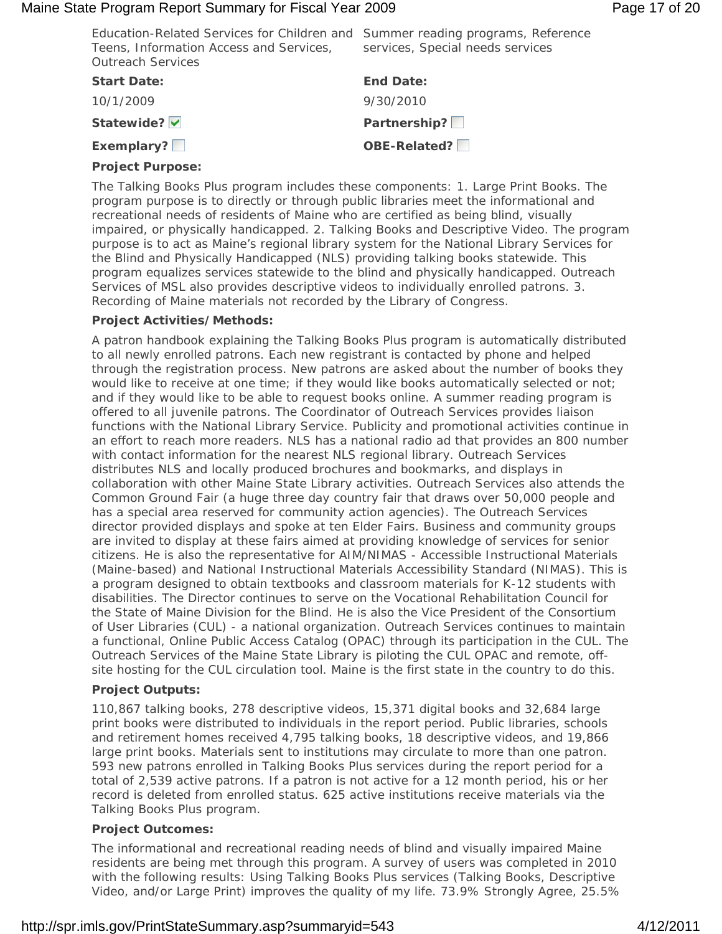#### Maine State Program Report Summary for Fiscal Year 2009 **Page 17 of 20** Page 17 of 20

| Education-Related Services for Children and Summer reading programs, Reference<br>Teens, Information Access and Services,<br><b>Outreach Services</b> | services, Special needs services |
|-------------------------------------------------------------------------------------------------------------------------------------------------------|----------------------------------|
| <b>Start Date:</b>                                                                                                                                    | <b>End Date:</b>                 |
| 10/1/2009                                                                                                                                             | 9/30/2010                        |
| Statewide? V                                                                                                                                          | Partnership?                     |
| Exemplary?                                                                                                                                            | OBE-Related?                     |

## **Project Purpose:**

The Talking Books Plus program includes these components: 1. Large Print Books. The program purpose is to directly or through public libraries meet the informational and recreational needs of residents of Maine who are certified as being blind, visually impaired, or physically handicapped. 2. Talking Books and Descriptive Video. The program purpose is to act as Maine's regional library system for the National Library Services for the Blind and Physically Handicapped (NLS) providing talking books statewide. This program equalizes services statewide to the blind and physically handicapped. Outreach Services of MSL also provides descriptive videos to individually enrolled patrons. 3. Recording of Maine materials not recorded by the Library of Congress.

# **Project Activities/Methods:**

A patron handbook explaining the Talking Books Plus program is automatically distributed to all newly enrolled patrons. Each new registrant is contacted by phone and helped through the registration process. New patrons are asked about the number of books they would like to receive at one time; if they would like books automatically selected or not; and if they would like to be able to request books online. A summer reading program is offered to all juvenile patrons. The Coordinator of Outreach Services provides liaison functions with the National Library Service. Publicity and promotional activities continue in an effort to reach more readers. NLS has a national radio ad that provides an 800 number with contact information for the nearest NLS regional library. Outreach Services distributes NLS and locally produced brochures and bookmarks, and displays in collaboration with other Maine State Library activities. Outreach Services also attends the Common Ground Fair (a huge three day country fair that draws over 50,000 people and has a special area reserved for community action agencies). The Outreach Services director provided displays and spoke at ten Elder Fairs. Business and community groups are invited to display at these fairs aimed at providing knowledge of services for senior citizens. He is also the representative for AIM/NIMAS - Accessible Instructional Materials (Maine-based) and National Instructional Materials Accessibility Standard (NIMAS). This is a program designed to obtain textbooks and classroom materials for K-12 students with disabilities. The Director continues to serve on the Vocational Rehabilitation Council for the State of Maine Division for the Blind. He is also the Vice President of the Consortium of User Libraries (CUL) - a national organization. Outreach Services continues to maintain a functional, Online Public Access Catalog (OPAC) through its participation in the CUL. The Outreach Services of the Maine State Library is piloting the CUL OPAC and remote, offsite hosting for the CUL circulation tool. Maine is the first state in the country to do this.

# **Project Outputs:**

110,867 talking books, 278 descriptive videos, 15,371 digital books and 32,684 large print books were distributed to individuals in the report period. Public libraries, schools and retirement homes received 4,795 talking books, 18 descriptive videos, and 19,866 large print books. Materials sent to institutions may circulate to more than one patron. 593 new patrons enrolled in Talking Books Plus services during the report period for a total of 2,539 active patrons. If a patron is not active for a 12 month period, his or her record is deleted from enrolled status. 625 active institutions receive materials via the Talking Books Plus program.

# **Project Outcomes:**

The informational and recreational reading needs of blind and visually impaired Maine residents are being met through this program. A survey of users was completed in 2010 with the following results: Using Talking Books Plus services (Talking Books, Descriptive Video, and/or Large Print) improves the quality of my life. 73.9% Strongly Agree, 25.5%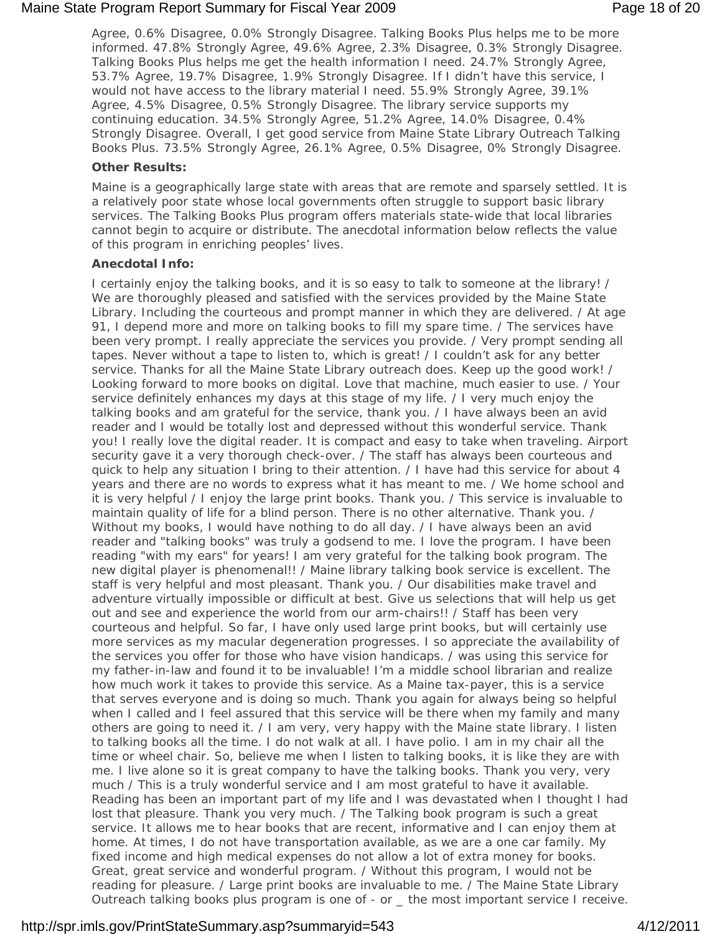#### Maine State Program Report Summary for Fiscal Year 2009 **Page 18 of 20** Page 18 of 20

Agree, 0.6% Disagree, 0.0% Strongly Disagree. Talking Books Plus helps me to be more informed. 47.8% Strongly Agree, 49.6% Agree, 2.3% Disagree, 0.3% Strongly Disagree. Talking Books Plus helps me get the health information I need. 24.7% Strongly Agree, 53.7% Agree, 19.7% Disagree, 1.9% Strongly Disagree. If I didn't have this service, I would not have access to the library material I need. 55.9% Strongly Agree, 39.1% Agree, 4.5% Disagree, 0.5% Strongly Disagree. The library service supports my continuing education. 34.5% Strongly Agree, 51.2% Agree, 14.0% Disagree, 0.4% Strongly Disagree. Overall, I get good service from Maine State Library Outreach Talking Books Plus. 73.5% Strongly Agree, 26.1% Agree, 0.5% Disagree, 0% Strongly Disagree.

#### **Other Results:**

Maine is a geographically large state with areas that are remote and sparsely settled. It is a relatively poor state whose local governments often struggle to support basic library services. The Talking Books Plus program offers materials state-wide that local libraries cannot begin to acquire or distribute. The anecdotal information below reflects the value of this program in enriching peoples' lives.

#### **Anecdotal Info:**

I certainly enjoy the talking books, and it is so easy to talk to someone at the library! / We are thoroughly pleased and satisfied with the services provided by the Maine State Library. Including the courteous and prompt manner in which they are delivered. / At age 91, I depend more and more on talking books to fill my spare time. / The services have been very prompt. I really appreciate the services you provide. / Very prompt sending all tapes. Never without a tape to listen to, which is great! / I couldn't ask for any better service. Thanks for all the Maine State Library outreach does. Keep up the good work! / Looking forward to more books on digital. Love that machine, much easier to use. / Your service definitely enhances my days at this stage of my life. / I very much enjoy the talking books and am grateful for the service, thank you. / I have always been an avid reader and I would be totally lost and depressed without this wonderful service. Thank you! I really love the digital reader. It is compact and easy to take when traveling. Airport security gave it a very thorough check-over. / The staff has always been courteous and quick to help any situation I bring to their attention. / I have had this service for about 4 years and there are no words to express what it has meant to me. / We home school and it is very helpful / I enjoy the large print books. Thank you. / This service is invaluable to maintain quality of life for a blind person. There is no other alternative. Thank you. / Without my books, I would have nothing to do all day. / I have always been an avid reader and "talking books" was truly a godsend to me. I love the program. I have been reading "with my ears" for years! I am very grateful for the talking book program. The new digital player is phenomenal!! / Maine library talking book service is excellent. The staff is very helpful and most pleasant. Thank you. / Our disabilities make travel and adventure virtually impossible or difficult at best. Give us selections that will help us get out and see and experience the world from our arm-chairs!! / Staff has been very courteous and helpful. So far, I have only used large print books, but will certainly use more services as my macular degeneration progresses. I so appreciate the availability of the services you offer for those who have vision handicaps. / was using this service for my father-in-law and found it to be invaluable! I'm a middle school librarian and realize how much work it takes to provide this service. As a Maine tax-payer, this is a service that serves everyone and is doing so much. Thank you again for always being so helpful when I called and I feel assured that this service will be there when my family and many others are going to need it. / I am very, very happy with the Maine state library. I listen to talking books all the time. I do not walk at all. I have polio. I am in my chair all the time or wheel chair. So, believe me when I listen to talking books, it is like they are with me. I live alone so it is great company to have the talking books. Thank you very, very much / This is a truly wonderful service and I am most grateful to have it available. Reading has been an important part of my life and I was devastated when I thought I had lost that pleasure. Thank you very much. / The Talking book program is such a great service. It allows me to hear books that are recent, informative and I can enjoy them at home. At times, I do not have transportation available, as we are a one car family. My fixed income and high medical expenses do not allow a lot of extra money for books. Great, great service and wonderful program. / Without this program, I would not be reading for pleasure. / Large print books are invaluable to me. / The Maine State Library Outreach talking books plus program is one of - or \_ the most important service I receive.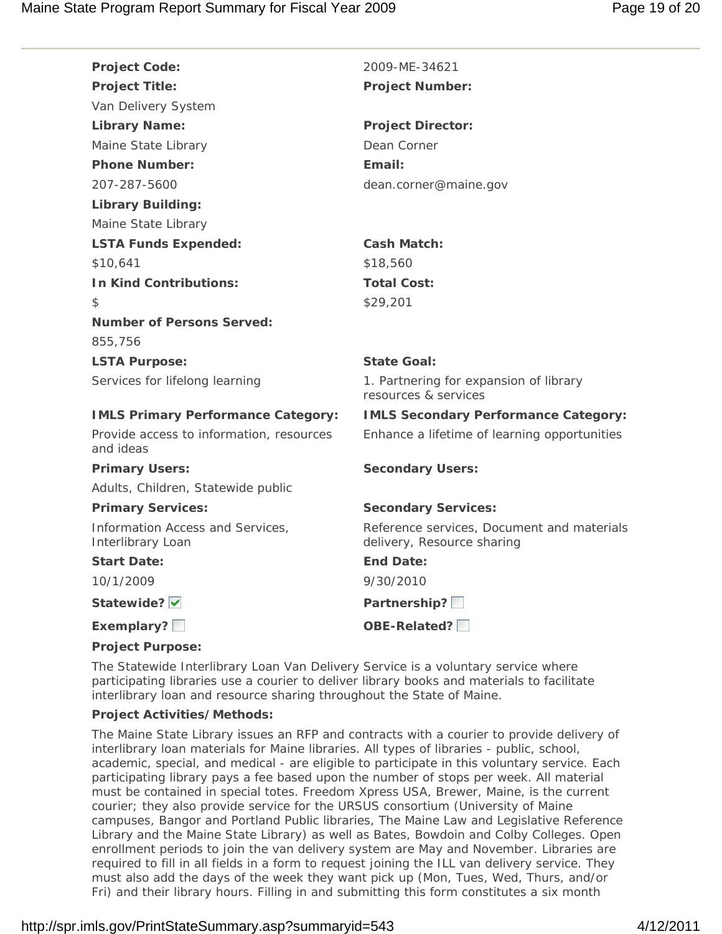| <b>Project Code:</b>                                  | 2009-ME-34621                                                            |
|-------------------------------------------------------|--------------------------------------------------------------------------|
| <b>Project Title:</b>                                 | <b>Project Number:</b>                                                   |
| Van Delivery System                                   |                                                                          |
| <b>Library Name:</b>                                  | <b>Project Director:</b>                                                 |
| Maine State Library                                   | Dean Corner                                                              |
| <b>Phone Number:</b>                                  | Fmail:                                                                   |
| 207-287-5600                                          | dean.corner@maine.gov                                                    |
| <b>Library Building:</b>                              |                                                                          |
| Maine State Library                                   |                                                                          |
| <b>LSTA Funds Expended:</b>                           | <b>Cash Match:</b>                                                       |
| \$10.641                                              | \$18,560                                                                 |
| <b>In Kind Contributions:</b>                         | <b>Total Cost:</b>                                                       |
| \$                                                    | \$29,201                                                                 |
| <b>Number of Persons Served:</b>                      |                                                                          |
| 855,756                                               |                                                                          |
| <b>LSTA Purpose:</b>                                  | <b>State Goal:</b>                                                       |
| Services for lifelong learning                        | 1. Partnering for expansion of library<br>resources & services           |
| <b>IMLS Primary Performance Category:</b>             | <b>IMLS Secondary Performance Category:</b>                              |
| Provide access to information, resources<br>and ideas | Enhance a lifetime of learning opportunities                             |
| <b>Primary Users:</b>                                 | <b>Secondary Users:</b>                                                  |
| Adults, Children, Statewide public                    |                                                                          |
| <b>Primary Services:</b>                              | <b>Secondary Services:</b>                                               |
| Information Access and Services,<br>Interlibrary Loan | Reference services, Document and materials<br>delivery, Resource sharing |
| <b>Start Date:</b>                                    | End Date:                                                                |
| 10/1/2009                                             | 9/30/2010                                                                |
| Statewide?                                            | Partnership?                                                             |
| Exemplary?                                            | OBE-Related?                                                             |
| <b>Project Purpose:</b>                               |                                                                          |

The Statewide Interlibrary Loan Van Delivery Service is a voluntary service where participating libraries use a courier to deliver library books and materials to facilitate interlibrary loan and resource sharing throughout the State of Maine.

#### **Project Activities/Methods:**

The Maine State Library issues an RFP and contracts with a courier to provide delivery of interlibrary loan materials for Maine libraries. All types of libraries - public, school, academic, special, and medical - are eligible to participate in this voluntary service. Each participating library pays a fee based upon the number of stops per week. All material must be contained in special totes. Freedom Xpress USA, Brewer, Maine, is the current courier; they also provide service for the URSUS consortium (University of Maine campuses, Bangor and Portland Public libraries, The Maine Law and Legislative Reference Library and the Maine State Library) as well as Bates, Bowdoin and Colby Colleges. Open enrollment periods to join the van delivery system are May and November. Libraries are required to fill in all fields in a form to request joining the ILL van delivery service. They must also add the days of the week they want pick up (Mon, Tues, Wed, Thurs, and/or Fri) and their library hours. Filling in and submitting this form constitutes a six month